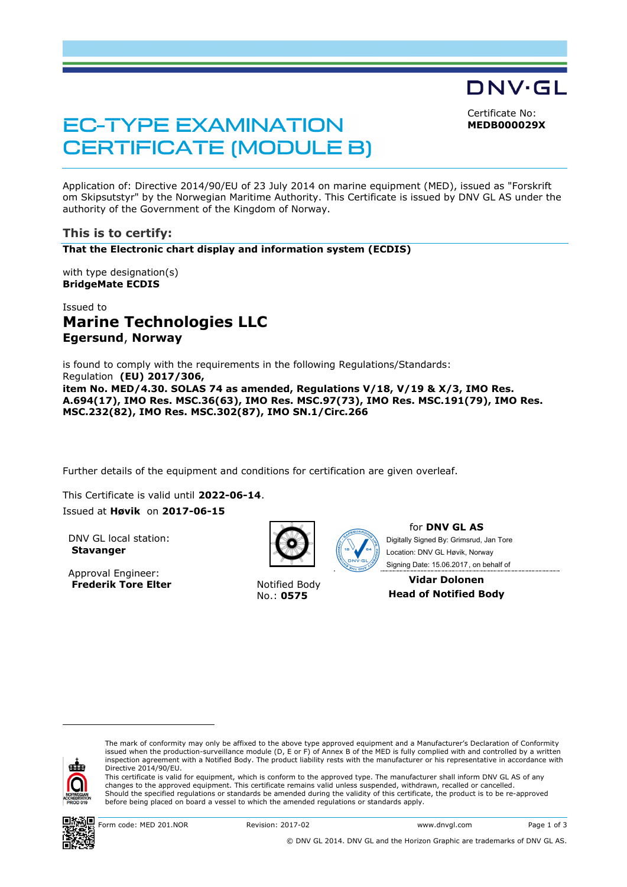Certificate No: **MEDB000029X**

DNV·GL

**EC-TYPE EXAMINATION CERTIFICATE (MODULE B)** 

Application of: Directive 2014/90/EU of 23 July 2014 on marine equipment (MED), issued as "Forskrift om Skipsutstyr" by the Norwegian Maritime Authority. This Certificate is issued by DNV GL AS under the authority of the Government of the Kingdom of Norway.

## **This is to certify:**

**That the Electronic chart display and information system (ECDIS)**

with type designation(s) **BridgeMate ECDIS**

# Issued to **Marine Technologies LLC Egersund**, **Norway**

is found to comply with the requirements in the following Regulations/Standards: Regulation **(EU) 2017/306, item No. MED/4.30. SOLAS 74 as amended, Regulations V/18, V/19 & X/3, IMO Res. A.694(17), IMO Res. MSC.36(63), IMO Res. MSC.97(73), IMO Res. MSC.191(79), IMO Res. MSC.232(82), IMO Res. MSC.302(87), IMO SN.1/Circ.266**

Further details of the equipment and conditions for certification are given overleaf.

This Certificate is valid until **2022-06-14**.

#### Issued at **Høvik** on **2017-06-15**

DNV GL local station: **Stavanger**

Approval Engineer: **Frederik Tore Elter** Notified Body



No.: **0575**



for **DNV GL AS** Signing Date: 15.06.2017 , on behalf ofDigitally Signed By: Grimsrud, Jan Tore Location: DNV GL Høvik, Norway

**Vidar Dolonen Head of Notified Body**



ı

The mark of conformity may only be affixed to the above type approved equipment and a Manufacturer's Declaration of Conformity<br>issued when the production-surveillance module (D, E or F) of Annex B of the MED is fully compl inspection agreement with a Notified Body. The product liability rests with the manufacturer or his representative in accordance with Directive 2014/90/EU.

This certificate is valid for equipment, which is conform to the approved type. The manufacturer shall inform DNV GL AS of any changes to the approved equipment. This certificate remains valid unless suspended, withdrawn, recalled or cancelled. Should the specified regulations or standards be amended during the validity of this certificate, the product is to be re-approved before being placed on board a vessel to which the amended regulations or standards apply.

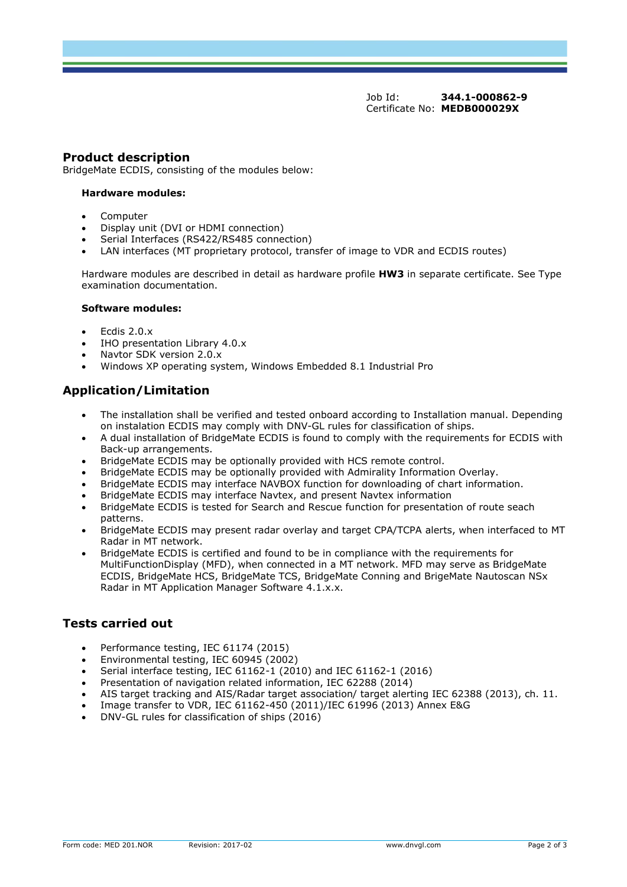Job Id: **344.1-000862-9** Certificate No: **MEDB000029X**

### **Product description**

BridgeMate ECDIS, consisting of the modules below:

#### **Hardware modules:**

- Computer
- Display unit (DVI or HDMI connection)
- Serial Interfaces (RS422/RS485 connection)
- LAN interfaces (MT proprietary protocol, transfer of image to VDR and ECDIS routes)

Hardware modules are described in detail as hardware profile **HW3** in separate certificate. See Type examination documentation.

#### **Software modules:**

- Ecdis 2.0.x
- IHO presentation Library 4.0.x
- Navtor SDK version 2.0.x
- Windows XP operating system, Windows Embedded 8.1 Industrial Pro

# **Application/Limitation**

- The installation shall be verified and tested onboard according to Installation manual. Depending on instalation ECDIS may comply with DNV-GL rules for classification of ships.
- A dual installation of BridgeMate ECDIS is found to comply with the requirements for ECDIS with Back-up arrangements.
- BridgeMate ECDIS may be optionally provided with HCS remote control.
- BridgeMate ECDIS may be optionally provided with Admirality Information Overlay.
- BridgeMate ECDIS may interface NAVBOX function for downloading of chart information.
- BridgeMate ECDIS may interface Navtex, and present Navtex information
- BridgeMate ECDIS is tested for Search and Rescue function for presentation of route seach patterns.
- BridgeMate ECDIS may present radar overlay and target CPA/TCPA alerts, when interfaced to MT Radar in MT network.
- BridgeMate ECDIS is certified and found to be in compliance with the requirements for MultiFunctionDisplay (MFD), when connected in a MT network. MFD may serve as BridgeMate ECDIS, BridgeMate HCS, BridgeMate TCS, BridgeMate Conning and BrigeMate Nautoscan NSx Radar in MT Application Manager Software 4.1.x.x.

## **Tests carried out**

- Performance testing, IEC 61174 (2015)
- Environmental testing, IEC 60945 (2002)
- Serial interface testing, IEC 61162-1 (2010) and IEC 61162-1 (2016)
- Presentation of navigation related information, IEC 62288 (2014)
- AIS target tracking and AIS/Radar target association/ target alerting IEC 62388 (2013), ch. 11.
- Image transfer to VDR, IEC 61162-450 (2011)/IEC 61996 (2013) Annex E&G
- DNV-GL rules for classification of ships (2016)